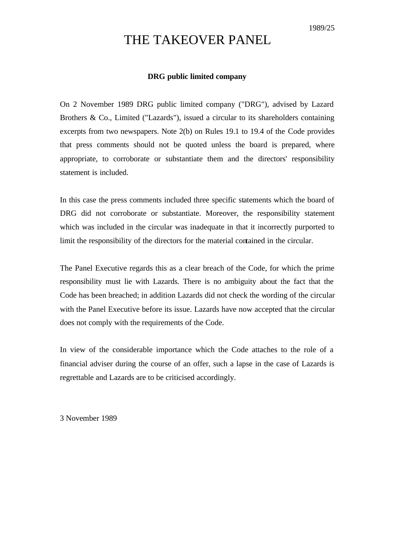## THE TAKEOVER PANEL

## **DRG public limited company**

On 2 November 1989 DRG public limited company ("DRG"), advised by Lazard Brothers & Co., Limited ("Lazards"), issued a circular to its shareholders containing excerpts from two newspapers. Note 2(b) on Rules 19.1 to 19.4 of the Code provides that press comments should not be quoted unless the board is prepared, where appropriate, to corroborate or substantiate them and the directors' responsibility statement is included.

In this case the press comments included three specific statements which the board of DRG did not corroborate or substantiate. Moreover, the responsibility statement which was included in the circular was inadequate in that it incorrectly purported to limit the responsibility of the directors for the material contained in the circular.

The Panel Executive regards this as a clear breach of the Code, for which the prime responsibility must lie with Lazards. There is no ambiguity about the fact that the Code has been breached; in addition Lazards did not check the wording of the circular with the Panel Executive before its issue. Lazards have now accepted that the circular does not comply with the requirements of the Code.

In view of the considerable importance which the Code attaches to the role of a financial adviser during the course of an offer, such a lapse in the case of Lazards is regrettable and Lazards are to be criticised accordingly.

3 November 1989